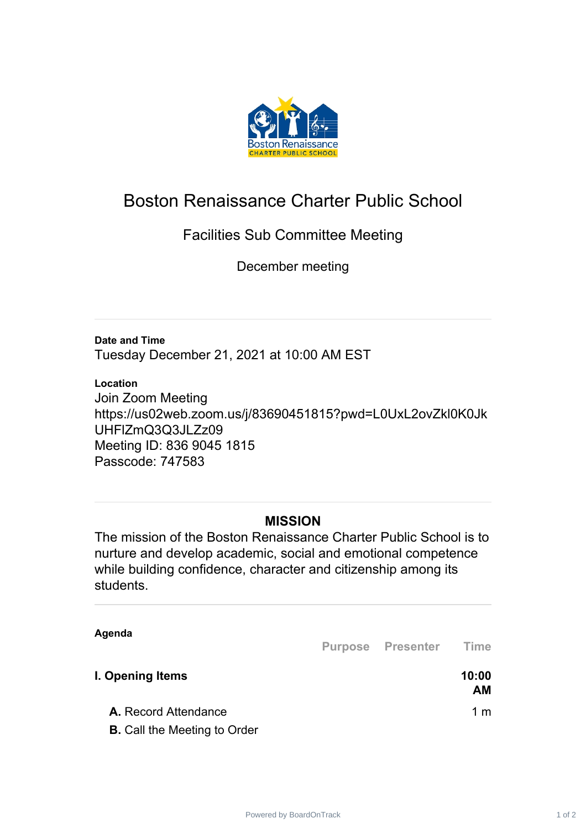

## Boston Renaissance Charter Public School

## Facilities Sub Committee Meeting

December meeting

**Date and Time** Tuesday December 21, 2021 at 10:00 AM EST

## **Location**

Join Zoom Meeting https://us02web.zoom.us/j/83690451815?pwd=L0UxL2ovZkl0K0Jk UHFlZmQ3Q3JLZz09 Meeting ID: 836 9045 1815 Passcode: 747583

## **MISSION**

The mission of the Boston Renaissance Charter Public School is to nurture and develop academic, social and emotional competence while building confidence, character and citizenship among its students.

**Agenda**

**Purpose Presenter Time**

| I. Opening Items                    | 10:00<br>AМ |
|-------------------------------------|-------------|
| <b>A.</b> Record Attendance         | 1 m         |
| <b>B.</b> Call the Meeting to Order |             |